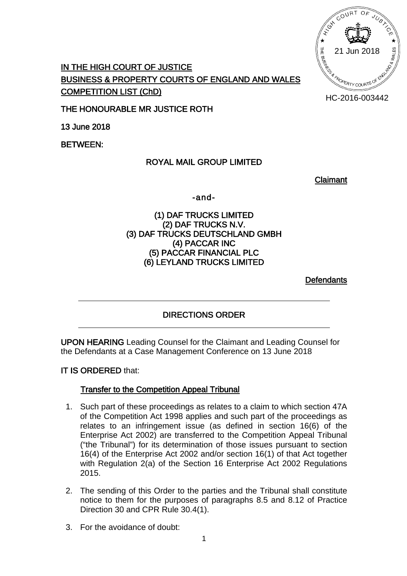HC-2016-003442

# **IN THE HIGH COURT OF JUSTICE BUSINESS & PROPERTY COURTS OF ENGLAND AND WALES COMPETITION LIST (ChD)**

**THE HONOURABLE MR JUSTICE ROTH**

**13 June 2018**

**BETWEEN:**

## **ROYAL MAIL GROUP LIMITED**

**Claimant**

**-and-**

### **(1) DAF TRUCKS LIMITED (2) DAF TRUCKS N.V. (3) DAF TRUCKS DEUTSCHLAND GMBH (4) PACCAR INC (5) PACCAR FINANCIAL PLC (6) LEYLAND TRUCKS LIMITED**

**Defendants**

## **DIRECTIONS ORDER**

**UPON HEARING** Leading Counsel for the Claimant and Leading Counsel for the Defendants at a Case Management Conference on 13 June 2018

## **IT IS ORDERED** that:

## **Transfer to the Competition Appeal Tribunal**

- 1. Such part of these proceedings as relates to a claim to which section 47A of the Competition Act 1998 applies and such part of the proceedings as relates to an infringement issue (as defined in section 16(6) of the Enterprise Act 2002) are transferred to the Competition Appeal Tribunal ("the Tribunal") for its determination of those issues pursuant to section 16(4) of the Enterprise Act 2002 and/or section 16(1) of that Act together with Regulation 2(a) of the Section 16 Enterprise Act 2002 Regulations 2015.
- 2. The sending of this Order to the parties and the Tribunal shall constitute notice to them for the purposes of paragraphs 8.5 and 8.12 of Practice Direction 30 and CPR Rule 30.4(1).
- 3. For the avoidance of doubt: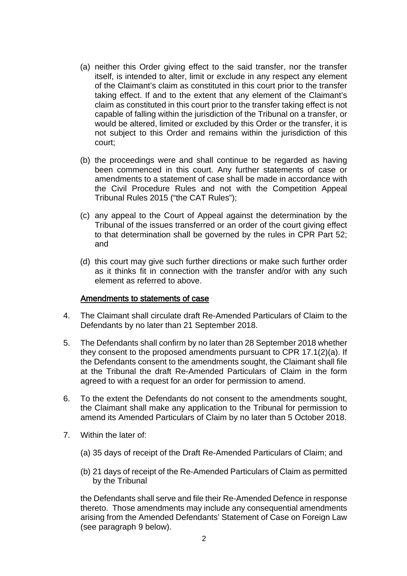- (a) neither this Order giving effect to the said transfer, nor the transfer itself, is intended to alter, limit or exclude in any respect any element of the Claimant's claim as constituted in this court prior to the transfer taking effect. If and to the extent that any element of the Claimant's claim as constituted in this court prior to the transfer taking effect is not capable of falling within the jurisdiction of the Tribunal on a transfer, or would be altered, limited or excluded by this Order or the transfer, it is not subject to this Order and remains within the jurisdiction of this court;
- (b) the proceedings were and shall continue to be regarded as having been commenced in this court. Any further statements of case or amendments to a statement of case shall be made in accordance with the Civil Procedure Rules and not with the Competition Appeal Tribunal Rules 2015 ("the CAT Rules");
- (c) any appeal to the Court of Appeal against the determination by the Tribunal of the issues transferred or an order of the court giving effect to that determination shall be governed by the rules in CPR Part 52; and
- (d) this court may give such further directions or make such further order as it thinks fit in connection with the transfer and/or with any such element as referred to above.

#### **Amendments to statements of case**

- 4. The Claimant shall circulate draft Re-Amended Particulars of Claim to the Defendants by no later than 21 September 2018.
- 5. The Defendants shall confirm by no later than 28 September 2018 whether they consent to the proposed amendments pursuant to CPR 17.1(2)(a). If the Defendants consent to the amendments sought, the Claimant shall file at the Tribunal the draft Re-Amended Particulars of Claim in the form agreed to with a request for an order for permission to amend.
- 6. To the extent the Defendants do not consent to the amendments sought, the Claimant shall make any application to the Tribunal for permission to amend its Amended Particulars of Claim by no later than 5 October 2018.
- 7. Within the later of:
	- (a) 35 days of receipt of the Draft Re-Amended Particulars of Claim; and
	- (b) 21 days of receipt of the Re-Amended Particulars of Claim as permitted by the Tribunal

the Defendants shall serve and file their Re-Amended Defence in response thereto. Those amendments may include any consequential amendments arising from the Amended Defendants' Statement of Case on Foreign Law (see paragraph 9 below).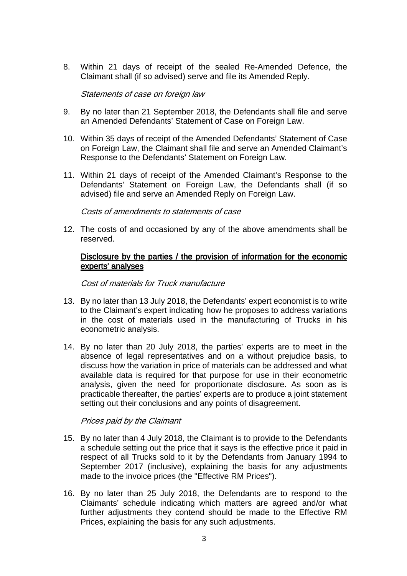8. Within 21 days of receipt of the sealed Re-Amended Defence, the Claimant shall (if so advised) serve and file its Amended Reply.

#### *Statements of case on foreign law*

- 9. By no later than 21 September 2018, the Defendants shall file and serve an Amended Defendants' Statement of Case on Foreign Law.
- 10. Within 35 days of receipt of the Amended Defendants' Statement of Case on Foreign Law, the Claimant shall file and serve an Amended Claimant's Response to the Defendants' Statement on Foreign Law.
- 11. Within 21 days of receipt of the Amended Claimant's Response to the Defendants' Statement on Foreign Law, the Defendants shall (if so advised) file and serve an Amended Reply on Foreign Law.

*Costs of amendments to statements of case*

12. The costs of and occasioned by any of the above amendments shall be reserved.

#### **Disclosure by the parties / the provision of information for the economic experts' analyses**

#### *Cost of materials for Truck manufacture*

- 13. By no later than 13 July 2018, the Defendants' expert economist is to write to the Claimant's expert indicating how he proposes to address variations in the cost of materials used in the manufacturing of Trucks in his econometric analysis.
- 14. By no later than 20 July 2018, the parties' experts are to meet in the absence of legal representatives and on a without prejudice basis, to discuss how the variation in price of materials can be addressed and what available data is required for that purpose for use in their econometric analysis, given the need for proportionate disclosure. As soon as is practicable thereafter, the parties' experts are to produce a joint statement setting out their conclusions and any points of disagreement.

#### *Prices paid by the Claimant*

- 15. By no later than 4 July 2018, the Claimant is to provide to the Defendants a schedule setting out the price that it says is the effective price it paid in respect of all Trucks sold to it by the Defendants from January 1994 to September 2017 (inclusive), explaining the basis for any adjustments made to the invoice prices (the "Effective RM Prices").
- 16. By no later than 25 July 2018, the Defendants are to respond to the Claimants' schedule indicating which matters are agreed and/or what further adjustments they contend should be made to the Effective RM Prices, explaining the basis for any such adjustments.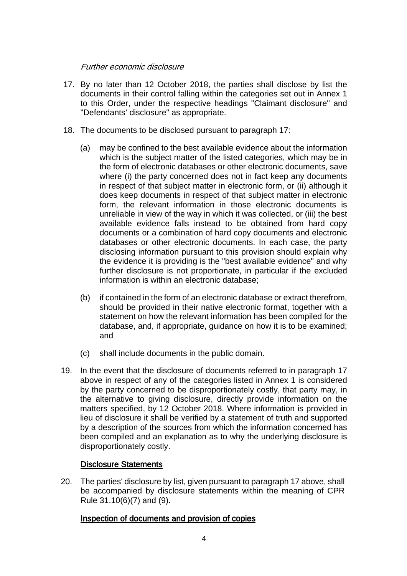### *Further economic disclosure*

- 17. By no later than 12 October 2018, the parties shall disclose by list the documents in their control falling within the categories set out in Annex 1 to this Order, under the respective headings "Claimant disclosure" and "Defendants' disclosure" as appropriate.
- 18. The documents to be disclosed pursuant to paragraph 17:
	- (a) may be confined to the best available evidence about the information which is the subject matter of the listed categories, which may be in the form of electronic databases or other electronic documents, save where (i) the party concerned does not in fact keep any documents in respect of that subject matter in electronic form, or (ii) although it does keep documents in respect of that subject matter in electronic form, the relevant information in those electronic documents is unreliable in view of the way in which it was collected, or (iii) the best available evidence falls instead to be obtained from hard copy documents or a combination of hard copy documents and electronic databases or other electronic documents. In each case, the party disclosing information pursuant to this provision should explain why the evidence it is providing is the "best available evidence" and why further disclosure is not proportionate, in particular if the excluded information is within an electronic database;
	- (b) if contained in the form of an electronic database or extract therefrom, should be provided in their native electronic format, together with a statement on how the relevant information has been compiled for the database, and, if appropriate, guidance on how it is to be examined; and
	- (c) shall include documents in the public domain.
- 19. In the event that the disclosure of documents referred to in paragraph 17 above in respect of any of the categories listed in Annex 1 is considered by the party concerned to be disproportionately costly, that party may, in the alternative to giving disclosure, directly provide information on the matters specified, by 12 October 2018. Where information is provided in lieu of disclosure it shall be verified by a statement of truth and supported by a description of the sources from which the information concerned has been compiled and an explanation as to why the underlying disclosure is disproportionately costly.

## **Disclosure Statements**

20. The parties' disclosure by list, given pursuant to paragraph 17 above, shall be accompanied by disclosure statements within the meaning of CPR Rule 31.10(6)(7) and (9).

## **Inspection of documents and provision of copies**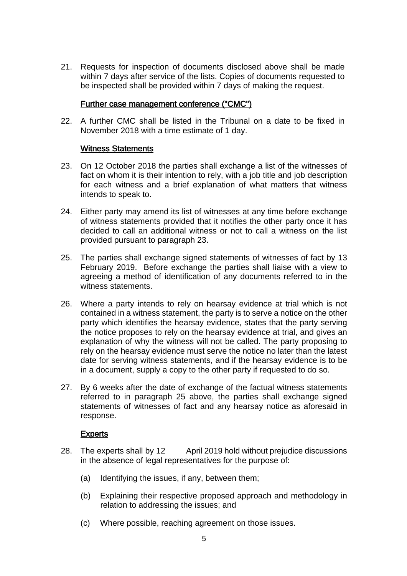21. Requests for inspection of documents disclosed above shall be made within 7 days after service of the lists. Copies of documents requested to be inspected shall be provided within 7 days of making the request.

#### **Further case management conference ("CMC")**

22. A further CMC shall be listed in the Tribunal on a date to be fixed in November 2018 with a time estimate of 1 day.

#### **Witness Statements**

- 23. On 12 October 2018 the parties shall exchange a list of the witnesses of fact on whom it is their intention to rely, with a job title and job description for each witness and a brief explanation of what matters that witness intends to speak to.
- 24. Either party may amend its list of witnesses at any time before exchange of witness statements provided that it notifies the other party once it has decided to call an additional witness or not to call a witness on the list provided pursuant to paragraph 23.
- 25. The parties shall exchange signed statements of witnesses of fact by 13 February 2019. Before exchange the parties shall liaise with a view to agreeing a method of identification of any documents referred to in the witness statements.
- 26. Where a party intends to rely on hearsay evidence at trial which is not contained in a witness statement, the party is to serve a notice on the other party which identifies the hearsay evidence, states that the party serving the notice proposes to rely on the hearsay evidence at trial, and gives an explanation of why the witness will not be called. The party proposing to rely on the hearsay evidence must serve the notice no later than the latest date for serving witness statements, and if the hearsay evidence is to be in a document, supply a copy to the other party if requested to do so.
- 27. By 6 weeks after the date of exchange of the factual witness statements referred to in paragraph 25 above, the parties shall exchange signed statements of witnesses of fact and any hearsay notice as aforesaid in response.

#### **Experts**

- 28. The experts shall by 12 April 2019 hold without prejudice discussions in the absence of legal representatives for the purpose of:
	- (a) Identifying the issues, if any, between them;
	- (b) Explaining their respective proposed approach and methodology in relation to addressing the issues; and
	- (c) Where possible, reaching agreement on those issues.